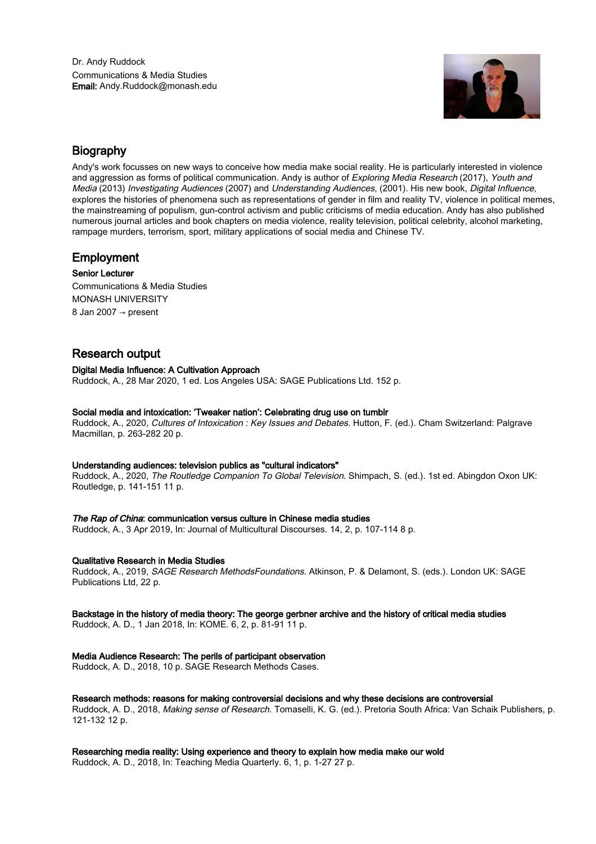

# Biography

Andy's work focusses on new ways to conceive how media make social reality. He is particularly interested in violence and aggression as forms of political communication. Andy is author of Exploring Media Research (2017), Youth and Media (2013) Investigating Audiences (2007) and Understanding Audiences, (2001). His new book, Digital Influence, explores the histories of phenomena such as representations of gender in film and reality TV, violence in political memes, the mainstreaming of populism, gun-control activism and public criticisms of media education. Andy has also published numerous journal articles and book chapters on media violence, reality television, political celebrity, alcohol marketing, rampage murders, terrorism, sport, military applications of social media and Chinese TV.

# Employment

Senior Lecturer Communications & Media Studies MONASH UNIVERSITY 8 Jan 2007 → present

# Research output

# Digital Media Influence: A Cultivation Approach

Ruddock, A., 28 Mar 2020, 1 ed. Los Angeles USA: SAGE Publications Ltd. 152 p.

# Social media and intoxication: 'Tweaker nation': Celebrating drug use on tumblr

Ruddock, A., 2020, Cultures of Intoxication : Key Issues and Debates. Hutton, F. (ed.). Cham Switzerland: Palgrave Macmillan, p. 263-282 20 p.

# Understanding audiences: television publics as "cultural indicators"

Ruddock, A., 2020, The Routledge Companion To Global Television. Shimpach, S. (ed.). 1st ed. Abingdon Oxon UK: Routledge, p. 141-151 11 p.

# The Rap of China: communication versus culture in Chinese media studies

Ruddock, A., 3 Apr 2019, In: Journal of Multicultural Discourses. 14, 2, p. 107-114 8 p.

# Qualitative Research in Media Studies

Ruddock, A., 2019, SAGE Research MethodsFoundations. Atkinson, P. & Delamont, S. (eds.). London UK: SAGE Publications Ltd, 22 p.

# Backstage in the history of media theory: The george gerbner archive and the history of critical media studies

Ruddock, A. D., 1 Jan 2018, In: KOME. 6, 2, p. 81-91 11 p.

# Media Audience Research: The perils of participant observation

Ruddock, A. D., 2018, 10 p. SAGE Research Methods Cases.

# Research methods: reasons for making controversial decisions and why these decisions are controversial

Ruddock, A. D., 2018, Making sense of Research. Tomaselli, K. G. (ed.). Pretoria South Africa: Van Schaik Publishers, p. 121-132 12 p.

Researching media reality: Using experience and theory to explain how media make our wold

Ruddock, A. D., 2018, In: Teaching Media Quarterly. 6, 1, p. 1-27 27 p.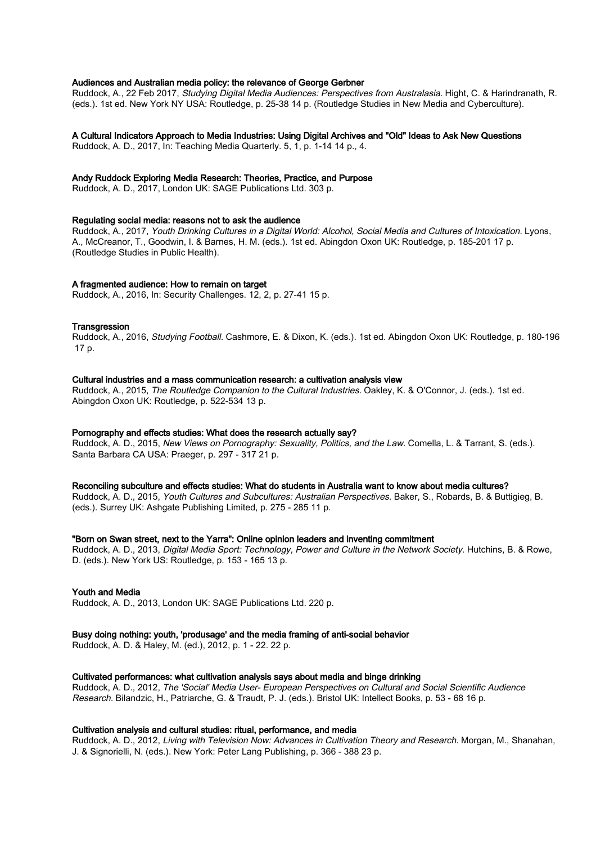# Audiences and Australian media policy: the relevance of George Gerbner

Ruddock, A., 22 Feb 2017, Studying Digital Media Audiences: Perspectives from Australasia. Hight, C. & Harindranath, R. (eds.). 1st ed. New York NY USA: Routledge, p. 25-38 14 p. (Routledge Studies in New Media and Cyberculture).

### A Cultural Indicators Approach to Media Industries: Using Digital Archives and "Old" Ideas to Ask New Questions

Ruddock, A. D., 2017, In: Teaching Media Quarterly. 5, 1, p. 1-14 14 p., 4.

### Andy Ruddock Exploring Media Research: Theories, Practice, and Purpose

Ruddock, A. D., 2017, London UK: SAGE Publications Ltd. 303 p.

#### Regulating social media: reasons not to ask the audience

Ruddock, A., 2017, Youth Drinking Cultures in a Digital World: Alcohol, Social Media and Cultures of Intoxication. Lyons, A., McCreanor, T., Goodwin, I. & Barnes, H. M. (eds.). 1st ed. Abingdon Oxon UK: Routledge, p. 185-201 17 p. (Routledge Studies in Public Health).

### A fragmented audience: How to remain on target

Ruddock, A., 2016, In: Security Challenges. 12, 2, p. 27-41 15 p.

#### **Transgression**

Ruddock, A., 2016, Studying Football. Cashmore, E. & Dixon, K. (eds.). 1st ed. Abingdon Oxon UK: Routledge, p. 180-196 17 p.

#### Cultural industries and a mass communication research: a cultivation analysis view

Ruddock, A., 2015, The Routledge Companion to the Cultural Industries. Oakley, K. & O'Connor, J. (eds.). 1st ed. Abingdon Oxon UK: Routledge, p. 522-534 13 p.

#### Pornography and effects studies: What does the research actually say?

Ruddock, A. D., 2015, New Views on Pornography: Sexuality, Politics, and the Law. Comella, L. & Tarrant, S. (eds.). Santa Barbara CA USA: Praeger, p. 297 - 317 21 p.

#### Reconciling subculture and effects studies: What do students in Australia want to know about media cultures?

Ruddock, A. D., 2015, Youth Cultures and Subcultures: Australian Perspectives. Baker, S., Robards, B. & Buttigieg, B. (eds.). Surrey UK: Ashgate Publishing Limited, p. 275 - 285 11 p.

#### "Born on Swan street, next to the Yarra": Online opinion leaders and inventing commitment

Ruddock, A. D., 2013, Digital Media Sport: Technology, Power and Culture in the Network Society. Hutchins, B. & Rowe, D. (eds.). New York US: Routledge, p. 153 - 165 13 p.

#### Youth and Media

Ruddock, A. D., 2013, London UK: SAGE Publications Ltd. 220 p.

#### Busy doing nothing: youth, 'produsage' and the media framing of anti-social behavior

Ruddock, A. D. & Haley, M. (ed.), 2012, p. 1 - 22. 22 p.

### Cultivated performances: what cultivation analysis says about media and binge drinking

Ruddock, A. D., 2012, The 'Social' Media User- European Perspectives on Cultural and Social Scientific Audience Research. Bilandzic, H., Patriarche, G. & Traudt, P. J. (eds.). Bristol UK: Intellect Books, p. 53 - 68 16 p.

# Cultivation analysis and cultural studies: ritual, performance, and media

Ruddock, A. D., 2012, Living with Television Now: Advances in Cultivation Theory and Research. Morgan, M., Shanahan, J. & Signorielli, N. (eds.). New York: Peter Lang Publishing, p. 366 - 388 23 p.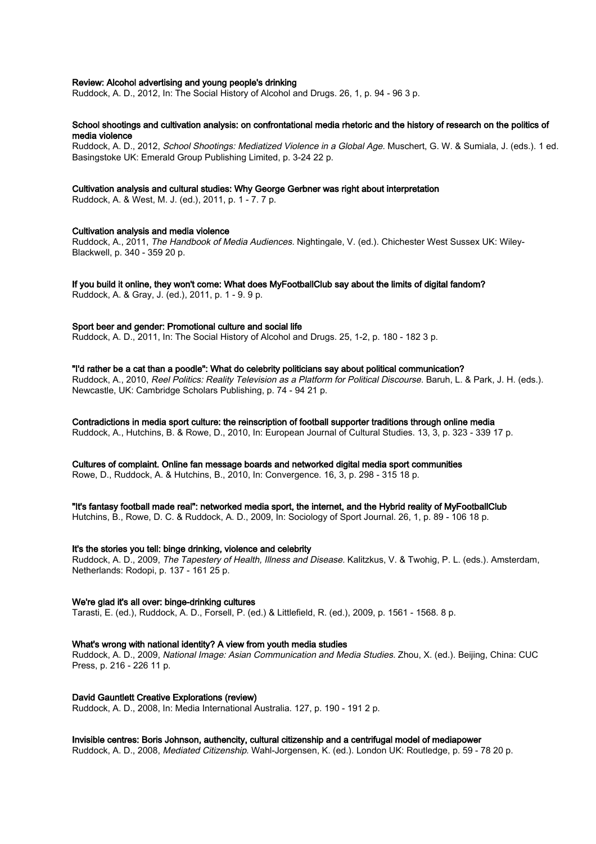### Review: Alcohol advertising and young people's drinking

Ruddock, A. D., 2012, In: The Social History of Alcohol and Drugs. 26, 1, p. 94 - 96 3 p.

### School shootings and cultivation analysis: on confrontational media rhetoric and the history of research on the politics of media violence

Ruddock, A. D., 2012, School Shootings: Mediatized Violence in a Global Age. Muschert, G. W. & Sumiala, J. (eds.). 1 ed. Basingstoke UK: Emerald Group Publishing Limited, p. 3-24 22 p.

### Cultivation analysis and cultural studies: Why George Gerbner was right about interpretation

Ruddock, A. & West, M. J. (ed.), 2011, p. 1 - 7. 7 p.

#### Cultivation analysis and media violence

Ruddock, A., 2011, The Handbook of Media Audiences. Nightingale, V. (ed.). Chichester West Sussex UK: Wiley-Blackwell, p. 340 - 359 20 p.

# If you build it online, they won't come: What does MyFootballClub say about the limits of digital fandom?

Ruddock, A. & Gray, J. (ed.), 2011, p. 1 - 9. 9 p.

#### Sport beer and gender: Promotional culture and social life

Ruddock, A. D., 2011, In: The Social History of Alcohol and Drugs. 25, 1-2, p. 180 - 182 3 p.

"I'd rather be a cat than a poodle": What do celebrity politicians say about political communication? Ruddock, A., 2010, Reel Politics: Reality Television as a Platform for Political Discourse. Baruh, L. & Park, J. H. (eds.). Newcastle, UK: Cambridge Scholars Publishing, p. 74 - 94 21 p.

Contradictions in media sport culture: the reinscription of football supporter traditions through online media

Ruddock, A., Hutchins, B. & Rowe, D., 2010, In: European Journal of Cultural Studies. 13, 3, p. 323 - 339 17 p.

Cultures of complaint. Online fan message boards and networked digital media sport communities

Rowe, D., Ruddock, A. & Hutchins, B., 2010, In: Convergence. 16, 3, p. 298 - 315 18 p.

"It's fantasy football made real": networked media sport, the internet, and the Hybrid reality of MyFootballClub

Hutchins, B., Rowe, D. C. & Ruddock, A. D., 2009, In: Sociology of Sport Journal. 26, 1, p. 89 - 106 18 p.

# It's the stories you tell: binge drinking, violence and celebrity

Ruddock, A. D., 2009, The Tapestery of Health, Illness and Disease. Kalitzkus, V. & Twohig, P. L. (eds.). Amsterdam, Netherlands: Rodopi, p. 137 - 161 25 p.

# We're glad it's all over: binge-drinking cultures

Tarasti, E. (ed.), Ruddock, A. D., Forsell, P. (ed.) & Littlefield, R. (ed.), 2009, p. 1561 - 1568. 8 p.

# What's wrong with national identity? A view from youth media studies

Ruddock, A. D., 2009, National Image: Asian Communication and Media Studies. Zhou, X. (ed.). Beijing, China: CUC Press, p. 216 - 226 11 p.

#### David Gauntlett Creative Explorations (review)

Ruddock, A. D., 2008, In: Media International Australia. 127, p. 190 - 191 2 p.

# Invisible centres: Boris Johnson, authencity, cultural citizenship and a centrifugal model of mediapower

Ruddock, A. D., 2008, Mediated Citizenship. Wahl-Jorgensen, K. (ed.). London UK: Routledge, p. 59 - 78 20 p.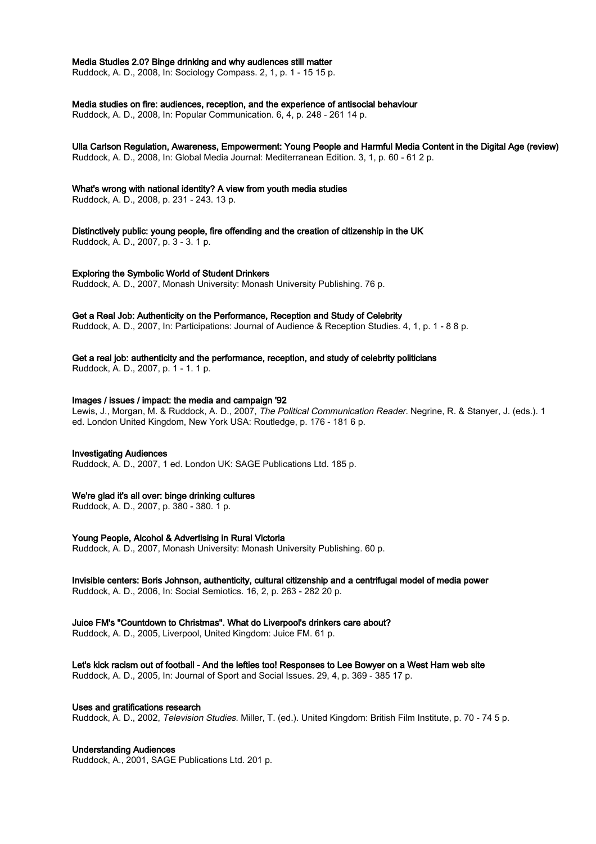#### Media Studies 2.0? Binge drinking and why audiences still matter

Ruddock, A. D., 2008, In: Sociology Compass. 2, 1, p. 1 - 15 15 p.

#### Media studies on fire: audiences, reception, and the experience of antisocial behaviour

Ruddock, A. D., 2008, In: Popular Communication. 6, 4, p. 248 - 261 14 p.

# Ulla Carlson Regulation, Awareness, Empowerment: Young People and Harmful Media Content in the Digital Age (review)

Ruddock, A. D., 2008, In: Global Media Journal: Mediterranean Edition. 3, 1, p. 60 - 61 2 p.

# What's wrong with national identity? A view from youth media studies

Ruddock, A. D., 2008, p. 231 - 243. 13 p.

Distinctively public: young people, fire offending and the creation of citizenship in the UK Ruddock, A. D., 2007, p. 3 - 3. 1 p.

# Exploring the Symbolic World of Student Drinkers

Ruddock, A. D., 2007, Monash University: Monash University Publishing. 76 p.

# Get a Real Job: Authenticity on the Performance, Reception and Study of Celebrity

Ruddock, A. D., 2007, In: Participations: Journal of Audience & Reception Studies. 4, 1, p. 1 - 8 8 p.

# Get a real job: authenticity and the performance, reception, and study of celebrity politicians

Ruddock, A. D., 2007, p. 1 - 1. 1 p.

#### Images / issues / impact: the media and campaign '92

Lewis, J., Morgan, M. & Ruddock, A. D., 2007, The Political Communication Reader. Negrine, R. & Stanyer, J. (eds.). 1 ed. London United Kingdom, New York USA: Routledge, p. 176 - 181 6 p.

# Investigating Audiences

Ruddock, A. D., 2007, 1 ed. London UK: SAGE Publications Ltd. 185 p.

# We're glad it's all over: binge drinking cultures

Ruddock, A. D., 2007, p. 380 - 380. 1 p.

#### Young People, Alcohol & Advertising in Rural Victoria

Ruddock, A. D., 2007, Monash University: Monash University Publishing. 60 p.

# Invisible centers: Boris Johnson, authenticity, cultural citizenship and a centrifugal model of media power

Ruddock, A. D., 2006, In: Social Semiotics. 16, 2, p. 263 - 282 20 p.

# Juice FM's "Countdown to Christmas". What do Liverpool's drinkers care about?

Ruddock, A. D., 2005, Liverpool, United Kingdom: Juice FM. 61 p.

# Let's kick racism out of football - And the lefties too! Responses to Lee Bowyer on a West Ham web site

Ruddock, A. D., 2005, In: Journal of Sport and Social Issues. 29, 4, p. 369 - 385 17 p.

# Uses and gratifications research

Ruddock, A. D., 2002, Television Studies. Miller, T. (ed.). United Kingdom: British Film Institute, p. 70 - 74 5 p.

# Understanding Audiences

Ruddock, A., 2001, SAGE Publications Ltd. 201 p.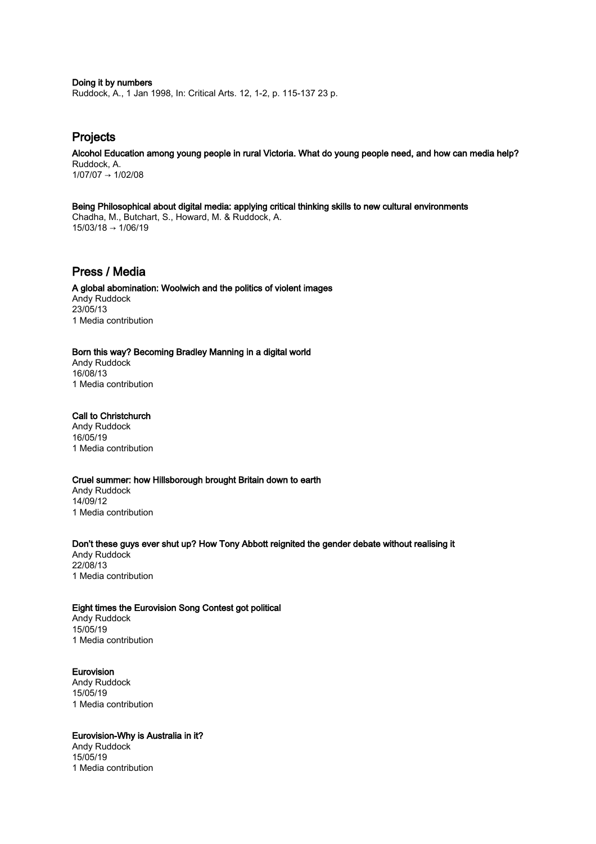Doing it by numbers Ruddock, A., 1 Jan 1998, In: Critical Arts. 12, 1-2, p. 115-137 23 p.

# Projects

Alcohol Education among young people in rural Victoria. What do young people need, and how can media help? Ruddock, A. 1/07/07 → 1/02/08

Being Philosophical about digital media: applying critical thinking skills to new cultural environments Chadha, M., Butchart, S., Howard, M. & Ruddock, A. 15/03/18 → 1/06/19

# Press / Media

A global abomination: Woolwich and the politics of violent images Andy Ruddock 23/05/13 1 Media contribution

# Born this way? Becoming Bradley Manning in a digital world

Andy Ruddock 16/08/13 1 Media contribution

# Call to Christchurch

Andy Ruddock 16/05/19 1 Media contribution

# Cruel summer: how Hillsborough brought Britain down to earth

Andy Ruddock 14/09/12 1 Media contribution

# Don't these guys ever shut up? How Tony Abbott reignited the gender debate without realising it

Andy Ruddock 22/08/13 1 Media contribution

# Eight times the Eurovision Song Contest got political

Andy Ruddock 15/05/19 1 Media contribution

# Eurovision

Andy Ruddock 15/05/19 1 Media contribution

# Eurovision-Why is Australia in it?

Andy Ruddock 15/05/19 1 Media contribution